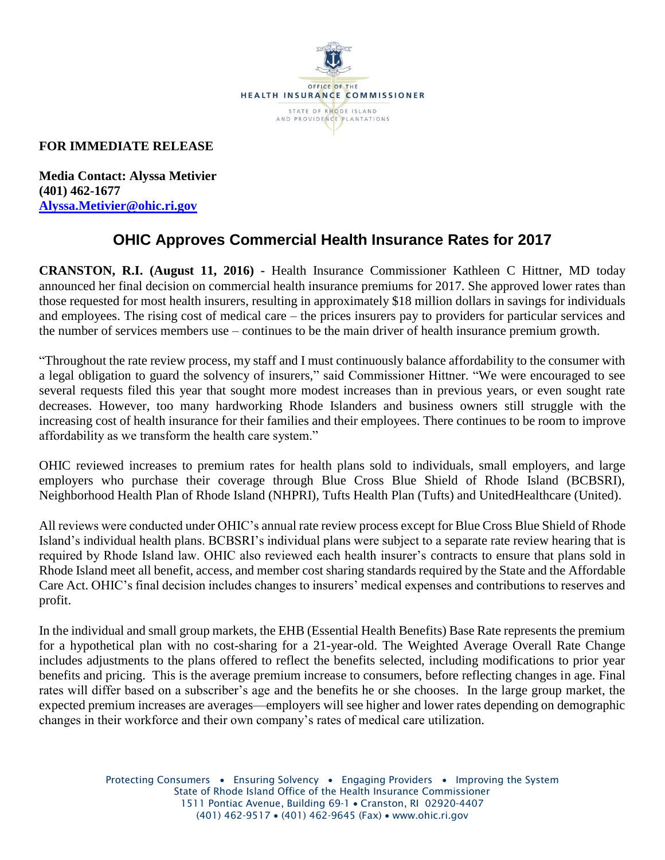

## **FOR IMMEDIATE RELEASE**

**Media Contact: Alyssa Metivier (401) 462-1677 [Alyssa.Metivier@ohic.ri.gov](mailto:Alyssa.Metivier@ohic.ri.gov)**

# **OHIC Approves Commercial Health Insurance Rates for 2017**

**CRANSTON, R.I. (August 11, 2016) -** Health Insurance Commissioner Kathleen C Hittner, MD today announced her final decision on commercial health insurance premiums for 2017. She approved lower rates than those requested for most health insurers, resulting in approximately \$18 million dollars in savings for individuals and employees. The rising cost of medical care – the prices insurers pay to providers for particular services and the number of services members use – continues to be the main driver of health insurance premium growth.

"Throughout the rate review process, my staff and I must continuously balance affordability to the consumer with a legal obligation to guard the solvency of insurers," said Commissioner Hittner. "We were encouraged to see several requests filed this year that sought more modest increases than in previous years, or even sought rate decreases. However, too many hardworking Rhode Islanders and business owners still struggle with the increasing cost of health insurance for their families and their employees. There continues to be room to improve affordability as we transform the health care system."

OHIC reviewed increases to premium rates for health plans sold to individuals, small employers, and large employers who purchase their coverage through Blue Cross Blue Shield of Rhode Island (BCBSRI), Neighborhood Health Plan of Rhode Island (NHPRI), Tufts Health Plan (Tufts) and UnitedHealthcare (United).

All reviews were conducted under OHIC's annual rate review process except for Blue Cross Blue Shield of Rhode Island's individual health plans. BCBSRI's individual plans were subject to a separate rate review hearing that is required by Rhode Island law. OHIC also reviewed each health insurer's contracts to ensure that plans sold in Rhode Island meet all benefit, access, and member cost sharing standards required by the State and the Affordable Care Act. OHIC's final decision includes changes to insurers' medical expenses and contributions to reserves and profit.

In the individual and small group markets, the EHB (Essential Health Benefits) Base Rate represents the premium for a hypothetical plan with no cost-sharing for a 21-year-old. The Weighted Average Overall Rate Change includes adjustments to the plans offered to reflect the benefits selected, including modifications to prior year benefits and pricing. This is the average premium increase to consumers, before reflecting changes in age. Final rates will differ based on a subscriber's age and the benefits he or she chooses. In the large group market, the expected premium increases are averages—employers will see higher and lower rates depending on demographic changes in their workforce and their own company's rates of medical care utilization.